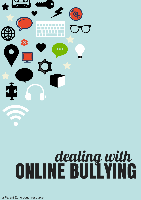

### dealing with ONLINE BULLYING

a Parent Zone youth resource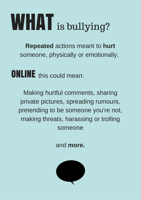## WHAT is bullying?

**Repeated** actions meant to **hurt** someone, physically or emotionally.

**ONLINE** this could mean:

Making hurtful comments, sharing private pictures, spreading rumours, pretending to be someone you're not, making threats, harassing or trolling someone

and **more.**

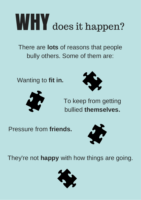## WHY does it happen?

There are **lots** of reasons that people bully others. Some of them are:

Wanting to **fit in.**





To keep from getting bullied **themselves.**

Pressure from **friends.**



They're not **happy** with how things are going.

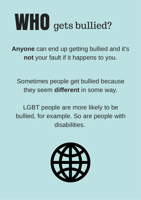### WHO gets bullied?

**Anyone** can end up getting bullied and it's **not** your fault if it happens to you.

Sometimes people get bullied because they seem **different** in some way.

LGBT people are more likely to be bullied, for example. So are people with disabilities.

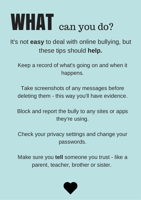## WHAT can you do?

It's not **easy** to deal with online bullying, but these tips should **help.**

Keep a record of what's going on and when it happens.

Take screenshots of any messages before deleting them - this way you'll have evidence.

Block and report the bully to any sites or apps they're using.

Check your privacy settings and change your passwords.

Make sure you **tell** someone you trust - like a parent, teacher, brother or sister.

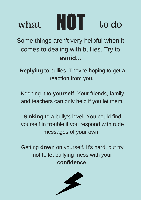

Some things aren't very helpful when it comes to dealing with bullies. Try to **avoid...**

**Replying** to bullies. They're hoping to get a reaction from you.

Keeping it to **yourself**. Your friends, family and teachers can only help if you let them.

**Sinking** to a bully's level. You could find yourself in trouble if you respond with rude messages of your own.

Getting **down** on yourself. It's hard, but try not to let bullying mess with your **confidence**.